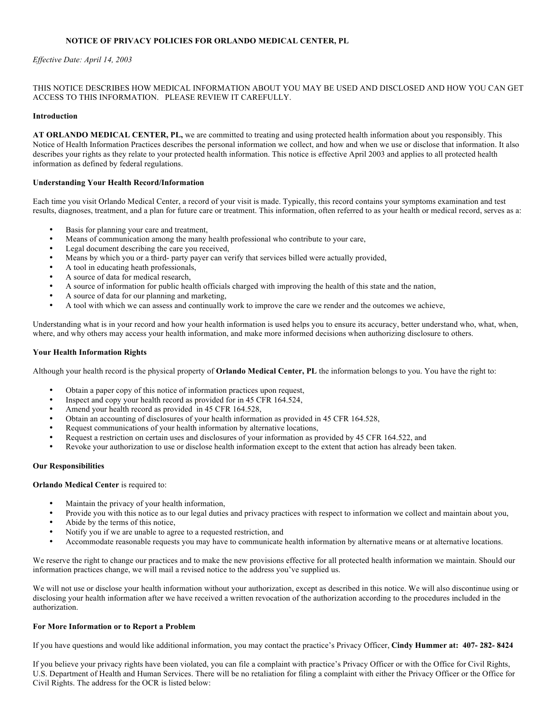# **NOTICE OF PRIVACY POLICIES FOR ORLANDO MEDICAL CENTER, PL**

### *Effective Date: April 14, 2003*

## THIS NOTICE DESCRIBES HOW MEDICAL INFORMATION ABOUT YOU MAY BE USED AND DISCLOSED AND HOW YOU CAN GET ACCESS TO THIS INFORMATION. PLEASE REVIEW IT CAREFULLY.

#### **Introduction**

**AT ORLANDO MEDICAL CENTER, PL,** we are committed to treating and using protected health information about you responsibly. This Notice of Health Information Practices describes the personal information we collect, and how and when we use or disclose that information. It also describes your rights as they relate to your protected health information. This notice is effective April 2003 and applies to all protected health information as defined by federal regulations.

#### **Understanding Your Health Record/Information**

Each time you visit Orlando Medical Center, a record of your visit is made. Typically, this record contains your symptoms examination and test results, diagnoses, treatment, and a plan for future care or treatment. This information, often referred to as your health or medical record, serves as a:

- Basis for planning your care and treatment,
- Means of communication among the many health professional who contribute to your care,
- Legal document describing the care you received,
- Means by which you or a third- party payer can verify that services billed were actually provided,
- A tool in educating heath professionals,
- A source of data for medical research,
- A source of information for public health officials charged with improving the health of this state and the nation,
- A source of data for our planning and marketing,
- A tool with which we can assess and continually work to improve the care we render and the outcomes we achieve,

Understanding what is in your record and how your health information is used helps you to ensure its accuracy, better understand who, what, when, where, and why others may access your health information, and make more informed decisions when authorizing disclosure to others.

#### **Your Health Information Rights**

Although your health record is the physical property of **Orlando Medical Center, PL** the information belongs to you. You have the right to:

- Obtain a paper copy of this notice of information practices upon request,
- Inspect and copy your health record as provided for in 45 CFR 164.524,
- Amend your health record as provided in 45 CFR 164.528,
- Obtain an accounting of disclosures of your health information as provided in 45 CFR 164.528,
- Request communications of your health information by alternative locations,
- Request a restriction on certain uses and disclosures of your information as provided by 45 CFR 164.522, and
- Revoke your authorization to use or disclose health information except to the extent that action has already been taken.

#### **Our Responsibilities**

#### **Orlando Medical Center** is required to:

- Maintain the privacy of your health information,
- Provide you with this notice as to our legal duties and privacy practices with respect to information we collect and maintain about you,
- Abide by the terms of this notice,
- Notify you if we are unable to agree to a requested restriction, and
- Accommodate reasonable requests you may have to communicate health information by alternative means or at alternative locations.

We reserve the right to change our practices and to make the new provisions effective for all protected health information we maintain. Should our information practices change, we will mail a revised notice to the address you've supplied us.

We will not use or disclose your health information without your authorization, except as described in this notice. We will also discontinue using or disclosing your health information after we have received a written revocation of the authorization according to the procedures included in the authorization.

#### **For More Information or to Report a Problem**

If you have questions and would like additional information, you may contact the practice's Privacy Officer, **Cindy Hummer at: 407- 282- 8424**

If you believe your privacy rights have been violated, you can file a complaint with practice's Privacy Officer or with the Office for Civil Rights, U.S. Department of Health and Human Services. There will be no retaliation for filing a complaint with either the Privacy Officer or the Office for Civil Rights. The address for the OCR is listed below: